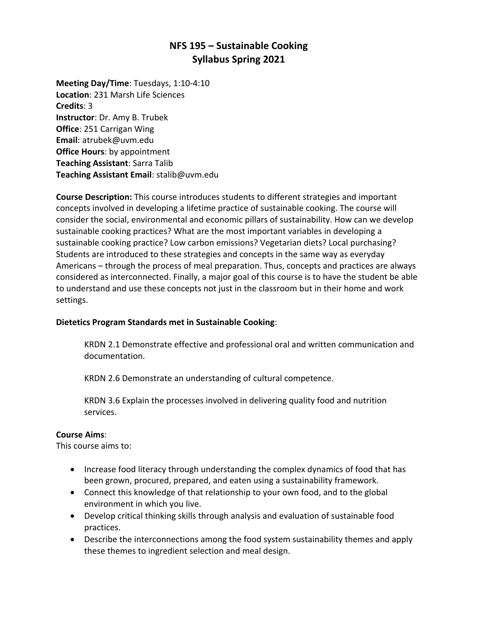# **NFS 195 – Sustainable Cooking Syllabus Spring 2021**

**Meeting Day/Time**: Tuesdays, 1:10-4:10 **Location**: 231 Marsh Life Sciences **Credits**: 3 **Instructor**: Dr. Amy B. Trubek **Office**: 251 Carrigan Wing **Email**: atrubek@uvm.edu **Office Hours**: by appointment **Teaching Assistant**: Sarra Talib **Teaching Assistant Email**: stalib@uvm.edu

**Course Description:** This course introduces students to different strategies and important concepts involved in developing a lifetime practice of sustainable cooking. The course will consider the social, environmental and economic pillars of sustainability. How can we develop sustainable cooking practices? What are the most important variables in developing a sustainable cooking practice? Low carbon emissions? Vegetarian diets? Local purchasing? Students are introduced to these strategies and concepts in the same way as everyday Americans – through the process of meal preparation. Thus, concepts and practices are always considered as interconnected. Finally, a major goal of this course is to have the student be able to understand and use these concepts not just in the classroom but in their home and work settings.

### **Dietetics Program Standards met in Sustainable Cooking**:

KRDN 2.1 Demonstrate effective and professional oral and written communication and documentation.

KRDN 2.6 Demonstrate an understanding of cultural competence.

KRDN 3.6 Explain the processes involved in delivering quality food and nutrition services.

### **Course Aims**:

This course aims to:

- Increase food literacy through understanding the complex dynamics of food that has been grown, procured, prepared, and eaten using a sustainability framework.
- Connect this knowledge of that relationship to your own food, and to the global environment in which you live.
- Develop critical thinking skills through analysis and evaluation of sustainable food practices.
- Describe the interconnections among the food system sustainability themes and apply these themes to ingredient selection and meal design.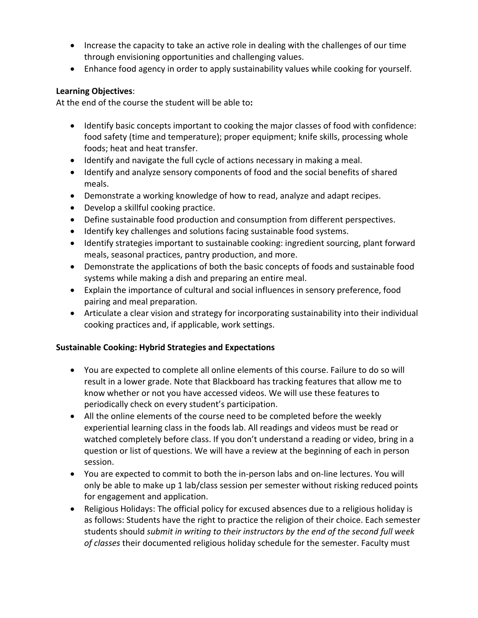- Increase the capacity to take an active role in dealing with the challenges of our time through envisioning opportunities and challenging values.
- Enhance food agency in order to apply sustainability values while cooking for yourself.

### **Learning Objectives**:

At the end of the course the student will be able to**:**

- Identify basic concepts important to cooking the major classes of food with confidence: food safety (time and temperature); proper equipment; knife skills, processing whole foods; heat and heat transfer.
- Identify and navigate the full cycle of actions necessary in making a meal.
- Identify and analyze sensory components of food and the social benefits of shared meals.
- Demonstrate a working knowledge of how to read, analyze and adapt recipes.
- Develop a skillful cooking practice.
- Define sustainable food production and consumption from different perspectives.
- Identify key challenges and solutions facing sustainable food systems.
- Identify strategies important to sustainable cooking: ingredient sourcing, plant forward meals, seasonal practices, pantry production, and more.
- Demonstrate the applications of both the basic concepts of foods and sustainable food systems while making a dish and preparing an entire meal.
- Explain the importance of cultural and social influences in sensory preference, food pairing and meal preparation.
- Articulate a clear vision and strategy for incorporating sustainability into their individual cooking practices and, if applicable, work settings.

# **Sustainable Cooking: Hybrid Strategies and Expectations**

- You are expected to complete all online elements of this course. Failure to do so will result in a lower grade. Note that Blackboard has tracking features that allow me to know whether or not you have accessed videos. We will use these features to periodically check on every student's participation.
- All the online elements of the course need to be completed before the weekly experiential learning class in the foods lab. All readings and videos must be read or watched completely before class. If you don't understand a reading or video, bring in a question or list of questions. We will have a review at the beginning of each in person session.
- You are expected to commit to both the in-person labs and on-line lectures. You will only be able to make up 1 lab/class session per semester without risking reduced points for engagement and application.
- Religious Holidays: The official policy for excused absences due to a religious holiday is as follows: Students have the right to practice the religion of their choice. Each semester students should *submit in writing to their instructors by the end of the second full week of classes* their documented religious holiday schedule for the semester. Faculty must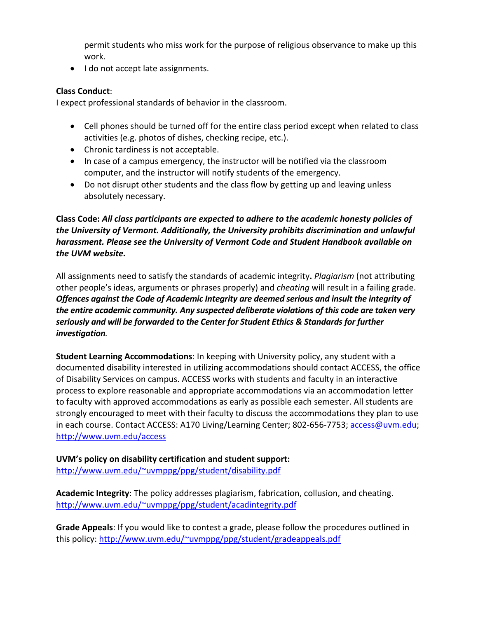permit students who miss work for the purpose of religious observance to make up this work.

• I do not accept late assignments.

### **Class Conduct**:

I expect professional standards of behavior in the classroom.

- Cell phones should be turned off for the entire class period except when related to class activities (e.g. photos of dishes, checking recipe, etc.).
- Chronic tardiness is not acceptable.
- In case of a campus emergency, the instructor will be notified via the classroom computer, and the instructor will notify students of the emergency.
- Do not disrupt other students and the class flow by getting up and leaving unless absolutely necessary.

**Class Code:** *All class participants are expected to adhere to the academic honesty policies of the University of Vermont. Additionally, the University prohibits discrimination and unlawful harassment. Please see the University of Vermont Code and Student Handbook available on the UVM website.*

All assignments need to satisfy the standards of academic integrity**.** *Plagiarism* (not attributing other people's ideas, arguments or phrases properly) and *cheating* will result in a failing grade. *Offences against the Code of Academic Integrity are deemed serious and insult the integrity of the entire academic community. Any suspected deliberate violations of this code are taken very seriously and will be forwarded to the Center for Student Ethics & Standards for further investigation.*

**Student Learning Accommodations**: In keeping with University policy, any student with a documented disability interested in utilizing accommodations should contact ACCESS, the office of Disability Services on campus. ACCESS works with students and faculty in an interactive process to explore reasonable and appropriate accommodations via an accommodation letter to faculty with approved accommodations as early as possible each semester. All students are strongly encouraged to meet with their faculty to discuss the accommodations they plan to use in each course. Contact ACCESS: A170 Living/Learning Center; 802-656-7753; access@uvm.edu; http://www.uvm.edu/access

**UVM's policy on disability certification and student support:** http://www.uvm.edu/~uvmppg/ppg/student/disability.pdf

**Academic Integrity**: The policy addresses plagiarism, fabrication, collusion, and cheating. http://www.uvm.edu/~uvmppg/ppg/student/acadintegrity.pdf

**Grade Appeals**: If you would like to contest a grade, please follow the procedures outlined in this policy: http://www.uvm.edu/~uvmppg/ppg/student/gradeappeals.pdf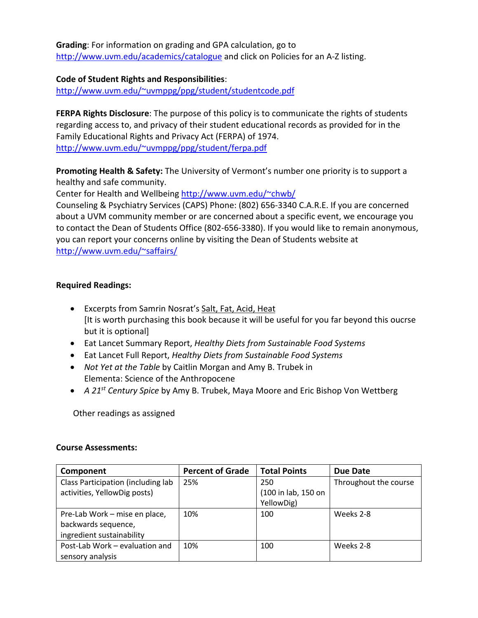**Grading**: For information on grading and GPA calculation, go to http://www.uvm.edu/academics/catalogue and click on Policies for an A-Z listing.

**Code of Student Rights and Responsibilities**: http://www.uvm.edu/~uvmppg/ppg/student/studentcode.pdf

**FERPA Rights Disclosure**: The purpose of this policy is to communicate the rights of students regarding access to, and privacy of their student educational records as provided for in the Family Educational Rights and Privacy Act (FERPA) of 1974. http://www.uvm.edu/~uvmppg/ppg/student/ferpa.pdf

**Promoting Health & Safety:** The University of Vermont's number one priority is to support a healthy and safe community.

Center for Health and Wellbeing http://www.uvm.edu/~chwb/

Counseling & Psychiatry Services (CAPS) Phone: (802) 656-3340 C.A.R.E. If you are concerned about a UVM community member or are concerned about a specific event, we encourage you to contact the Dean of Students Office (802-656-3380). If you would like to remain anonymous, you can report your concerns online by visiting the Dean of Students website at http://www.uvm.edu/~saffairs/

## **Required Readings:**

- Excerpts from Samrin Nosrat's Salt, Fat, Acid, Heat [It is worth purchasing this book because it will be useful for you far beyond this oucrse but it is optional]
- Eat Lancet Summary Report, *Healthy Diets from Sustainable Food Systems*
- Eat Lancet Full Report, *Healthy Diets from Sustainable Food Systems*
- *Not Yet at the Table* by Caitlin Morgan and Amy B. Trubek in Elementa: Science of the Anthropocene
- *A 21st Century Spice* by Amy B. Trubek, Maya Moore and Eric Bishop Von Wettberg

Other readings as assigned

### **Course Assessments:**

| Component                          | <b>Percent of Grade</b> | <b>Total Points</b> | <b>Due Date</b>       |
|------------------------------------|-------------------------|---------------------|-----------------------|
| Class Participation (including lab | 25%                     | 250                 | Throughout the course |
| activities, YellowDig posts)       |                         | (100 in lab, 150 on |                       |
|                                    |                         | YellowDig)          |                       |
| Pre-Lab Work - mise en place,      | 10%                     | 100                 | Weeks 2-8             |
| backwards sequence,                |                         |                     |                       |
| ingredient sustainability          |                         |                     |                       |
| Post-Lab Work - evaluation and     | 10%                     | 100                 | Weeks 2-8             |
| sensory analysis                   |                         |                     |                       |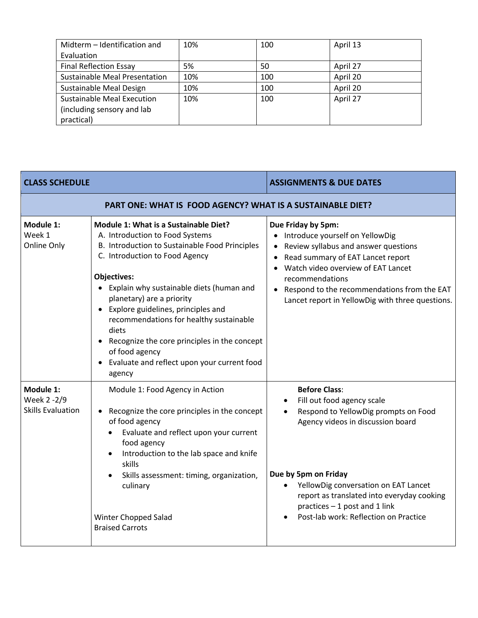| Midterm - Identification and         | 10% | 100 | April 13 |
|--------------------------------------|-----|-----|----------|
| Evaluation                           |     |     |          |
| <b>Final Reflection Essay</b>        | 5%  | 50  | April 27 |
| <b>Sustainable Meal Presentation</b> | 10% | 100 | April 20 |
| Sustainable Meal Design              | 10% | 100 | April 20 |
| <b>Sustainable Meal Execution</b>    | 10% | 100 | April 27 |
| (including sensory and lab           |     |     |          |
| practical)                           |     |     |          |

|                                                                                                                                                                                                                                                                                                                                                                                                                                                                                  | <b>ASSIGNMENTS &amp; DUE DATES</b>                                                                                                                                                                                                                                                                                                                             |  |  |
|----------------------------------------------------------------------------------------------------------------------------------------------------------------------------------------------------------------------------------------------------------------------------------------------------------------------------------------------------------------------------------------------------------------------------------------------------------------------------------|----------------------------------------------------------------------------------------------------------------------------------------------------------------------------------------------------------------------------------------------------------------------------------------------------------------------------------------------------------------|--|--|
| PART ONE: WHAT IS FOOD AGENCY? WHAT IS A SUSTAINABLE DIET?                                                                                                                                                                                                                                                                                                                                                                                                                       |                                                                                                                                                                                                                                                                                                                                                                |  |  |
| Module 1: What is a Sustainable Diet?<br>A. Introduction to Food Systems<br>B. Introduction to Sustainable Food Principles<br>C. Introduction to Food Agency<br><b>Objectives:</b><br>Explain why sustainable diets (human and<br>planetary) are a priority<br>Explore guidelines, principles and<br>recommendations for healthy sustainable<br>diets<br>Recognize the core principles in the concept<br>of food agency<br>Evaluate and reflect upon your current food<br>agency | Due Friday by 5pm:<br>Introduce yourself on YellowDig<br>Review syllabus and answer questions<br>Read summary of EAT Lancet report<br>Watch video overview of EAT Lancet<br>$\bullet$<br>recommendations<br>• Respond to the recommendations from the EAT<br>Lancet report in YellowDig with three questions.                                                  |  |  |
| Module 1: Food Agency in Action<br>Recognize the core principles in the concept<br>of food agency<br>Evaluate and reflect upon your current<br>food agency<br>Introduction to the lab space and knife<br>$\bullet$<br>skills<br>Skills assessment: timing, organization,<br>$\bullet$<br>culinary<br><b>Winter Chopped Salad</b><br><b>Braised Carrots</b>                                                                                                                       | <b>Before Class:</b><br>Fill out food agency scale<br>$\bullet$<br>Respond to YellowDig prompts on Food<br>$\bullet$<br>Agency videos in discussion board<br>Due by 5pm on Friday<br>YellowDig conversation on EAT Lancet<br>$\bullet$<br>report as translated into everyday cooking<br>practices - 1 post and 1 link<br>Post-lab work: Reflection on Practice |  |  |
|                                                                                                                                                                                                                                                                                                                                                                                                                                                                                  |                                                                                                                                                                                                                                                                                                                                                                |  |  |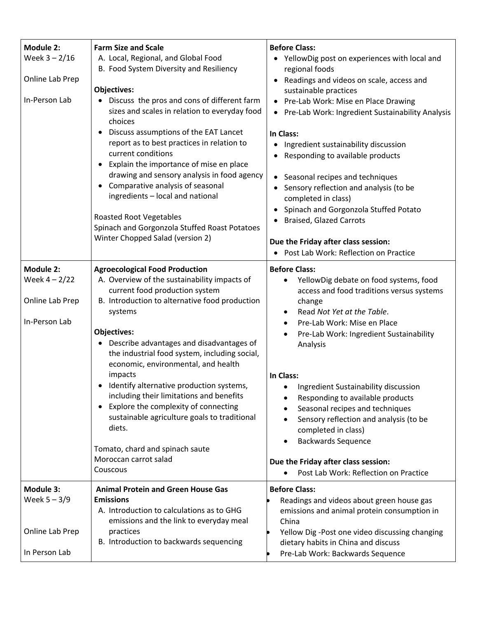| <b>Module 2:</b><br>Week $3 - 2/16$<br>Online Lab Prep<br>In-Person Lab | <b>Farm Size and Scale</b><br>A. Local, Regional, and Global Food<br>B. Food System Diversity and Resiliency<br><b>Objectives:</b><br>Discuss the pros and cons of different farm<br>sizes and scales in relation to everyday food<br>choices<br>Discuss assumptions of the EAT Lancet<br>report as to best practices in relation to<br>current conditions<br>Explain the importance of mise en place<br>$\bullet$<br>drawing and sensory analysis in food agency<br>Comparative analysis of seasonal<br>$\bullet$<br>ingredients - local and national                                                                                   | <b>Before Class:</b><br>YellowDig post on experiences with local and<br>regional foods<br>Readings and videos on scale, access and<br>sustainable practices<br>Pre-Lab Work: Mise en Place Drawing<br>$\bullet$<br>• Pre-Lab Work: Ingredient Sustainability Analysis<br>In Class:<br>Ingredient sustainability discussion<br>$\bullet$<br>Responding to available products<br>Seasonal recipes and techniques<br>$\bullet$<br>Sensory reflection and analysis (to be                                                                                                                                                                          |
|-------------------------------------------------------------------------|------------------------------------------------------------------------------------------------------------------------------------------------------------------------------------------------------------------------------------------------------------------------------------------------------------------------------------------------------------------------------------------------------------------------------------------------------------------------------------------------------------------------------------------------------------------------------------------------------------------------------------------|------------------------------------------------------------------------------------------------------------------------------------------------------------------------------------------------------------------------------------------------------------------------------------------------------------------------------------------------------------------------------------------------------------------------------------------------------------------------------------------------------------------------------------------------------------------------------------------------------------------------------------------------|
|                                                                         | <b>Roasted Root Vegetables</b><br>Spinach and Gorgonzola Stuffed Roast Potatoes<br>Winter Chopped Salad (version 2)                                                                                                                                                                                                                                                                                                                                                                                                                                                                                                                      | completed in class)<br>Spinach and Gorgonzola Stuffed Potato<br><b>Braised, Glazed Carrots</b><br>Due the Friday after class session:<br>Post Lab Work: Reflection on Practice                                                                                                                                                                                                                                                                                                                                                                                                                                                                 |
| <b>Module 2:</b><br>Week $4 - 2/22$<br>Online Lab Prep<br>In-Person Lab | <b>Agroecological Food Production</b><br>A. Overview of the sustainability impacts of<br>current food production system<br>B. Introduction to alternative food production<br>systems<br><b>Objectives:</b><br>Describe advantages and disadvantages of<br>the industrial food system, including social,<br>economic, environmental, and health<br>impacts<br>Identify alternative production systems,<br>including their limitations and benefits<br>Explore the complexity of connecting<br>$\bullet$<br>sustainable agriculture goals to traditional<br>diets.<br>Tomato, chard and spinach saute<br>Moroccan carrot salad<br>Couscous | <b>Before Class:</b><br>YellowDig debate on food systems, food<br>$\bullet$<br>access and food traditions versus systems<br>change<br>Read Not Yet at the Table.<br>$\bullet$<br>Pre-Lab Work: Mise en Place<br>$\bullet$<br>Pre-Lab Work: Ingredient Sustainability<br>Analysis<br>In Class:<br>Ingredient Sustainability discussion<br>Responding to available products<br>$\bullet$<br>Seasonal recipes and techniques<br>Sensory reflection and analysis (to be<br>$\bullet$<br>completed in class)<br><b>Backwards Sequence</b><br>$\bullet$<br>Due the Friday after class session:<br>Post Lab Work: Reflection on Practice<br>$\bullet$ |
| <b>Module 3:</b><br>Week $5 - 3/9$<br>Online Lab Prep<br>In Person Lab  | <b>Animal Protein and Green House Gas</b><br><b>Emissions</b><br>A. Introduction to calculations as to GHG<br>emissions and the link to everyday meal<br>practices<br>B. Introduction to backwards sequencing                                                                                                                                                                                                                                                                                                                                                                                                                            | <b>Before Class:</b><br>Readings and videos about green house gas<br>emissions and animal protein consumption in<br>China<br>Yellow Dig-Post one video discussing changing<br>dietary habits in China and discuss<br>Pre-Lab Work: Backwards Sequence                                                                                                                                                                                                                                                                                                                                                                                          |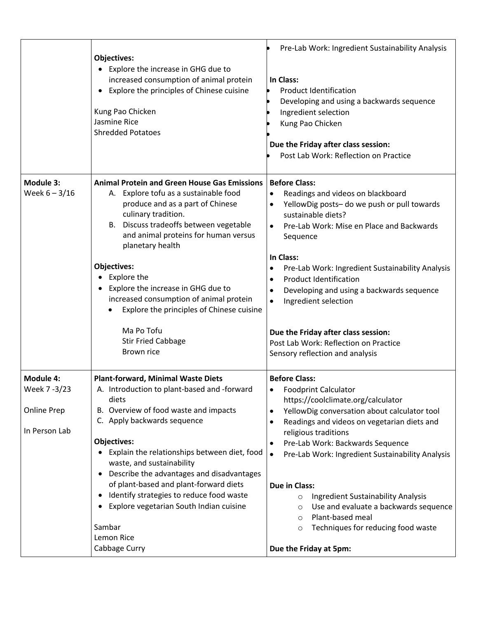|                              | Objectives:<br>Explore the increase in GHG due to<br>$\bullet$<br>increased consumption of animal protein<br>Explore the principles of Chinese cuisine<br>Kung Pao Chicken<br>Jasmine Rice<br><b>Shredded Potatoes</b>                                                                                                                                                                                                                         | Pre-Lab Work: Ingredient Sustainability Analysis<br>In Class:<br><b>Product Identification</b><br>Developing and using a backwards sequence<br>Ingredient selection<br>Kung Pao Chicken<br>Due the Friday after class session:<br>Post Lab Work: Reflection on Practice                                                                                                     |
|------------------------------|------------------------------------------------------------------------------------------------------------------------------------------------------------------------------------------------------------------------------------------------------------------------------------------------------------------------------------------------------------------------------------------------------------------------------------------------|-----------------------------------------------------------------------------------------------------------------------------------------------------------------------------------------------------------------------------------------------------------------------------------------------------------------------------------------------------------------------------|
| Module 3:<br>Week $6 - 3/16$ | <b>Animal Protein and Green House Gas Emissions</b><br>A. Explore tofu as a sustainable food<br>produce and as a part of Chinese<br>culinary tradition.<br>B. Discuss tradeoffs between vegetable<br>and animal proteins for human versus<br>planetary health<br><b>Objectives:</b><br>Explore the<br>Explore the increase in GHG due to<br>increased consumption of animal protein<br>Explore the principles of Chinese cuisine<br>Ma Po Tofu | <b>Before Class:</b><br>Readings and videos on blackboard<br>YellowDig posts- do we push or pull towards<br>sustainable diets?<br>Pre-Lab Work: Mise en Place and Backwards<br>Sequence<br>In Class:<br>Pre-Lab Work: Ingredient Sustainability Analysis<br><b>Product Identification</b><br>Developing and using a backwards sequence<br>Ingredient selection<br>$\bullet$ |
|                              | <b>Stir Fried Cabbage</b><br>Brown rice                                                                                                                                                                                                                                                                                                                                                                                                        | Due the Friday after class session:<br>Post Lab Work: Reflection on Practice<br>Sensory reflection and analysis                                                                                                                                                                                                                                                             |
| <b>Module 4:</b>             | <b>Plant-forward, Minimal Waste Diets</b>                                                                                                                                                                                                                                                                                                                                                                                                      | <b>Before Class:</b>                                                                                                                                                                                                                                                                                                                                                        |
| Week 7 - 3/23                | A. Introduction to plant-based and -forward<br>diets                                                                                                                                                                                                                                                                                                                                                                                           | <b>Foodprint Calculator</b>                                                                                                                                                                                                                                                                                                                                                 |
| <b>Online Prep</b>           | B. Overview of food waste and impacts                                                                                                                                                                                                                                                                                                                                                                                                          | https://coolclimate.org/calculator<br>YellowDig conversation about calculator tool<br>$\bullet$                                                                                                                                                                                                                                                                             |
|                              | C. Apply backwards sequence                                                                                                                                                                                                                                                                                                                                                                                                                    | Readings and videos on vegetarian diets and                                                                                                                                                                                                                                                                                                                                 |
| In Person Lab                | <b>Objectives:</b>                                                                                                                                                                                                                                                                                                                                                                                                                             | religious traditions                                                                                                                                                                                                                                                                                                                                                        |
|                              | Explain the relationships between diet, food<br>waste, and sustainability<br>Describe the advantages and disadvantages<br>٠                                                                                                                                                                                                                                                                                                                    | Pre-Lab Work: Backwards Sequence<br>Pre-Lab Work: Ingredient Sustainability Analysis<br>$\bullet$                                                                                                                                                                                                                                                                           |
|                              | of plant-based and plant-forward diets                                                                                                                                                                                                                                                                                                                                                                                                         | Due in Class:                                                                                                                                                                                                                                                                                                                                                               |
|                              | Identify strategies to reduce food waste<br>$\bullet$                                                                                                                                                                                                                                                                                                                                                                                          | Ingredient Sustainability Analysis<br>$\circ$                                                                                                                                                                                                                                                                                                                               |
|                              | Explore vegetarian South Indian cuisine                                                                                                                                                                                                                                                                                                                                                                                                        | Use and evaluate a backwards sequence<br>$\circ$                                                                                                                                                                                                                                                                                                                            |
|                              | Sambar                                                                                                                                                                                                                                                                                                                                                                                                                                         | Plant-based meal<br>$\circ$                                                                                                                                                                                                                                                                                                                                                 |
|                              | Lemon Rice                                                                                                                                                                                                                                                                                                                                                                                                                                     | Techniques for reducing food waste<br>$\circ$                                                                                                                                                                                                                                                                                                                               |
|                              | Cabbage Curry                                                                                                                                                                                                                                                                                                                                                                                                                                  | Due the Friday at 5pm:                                                                                                                                                                                                                                                                                                                                                      |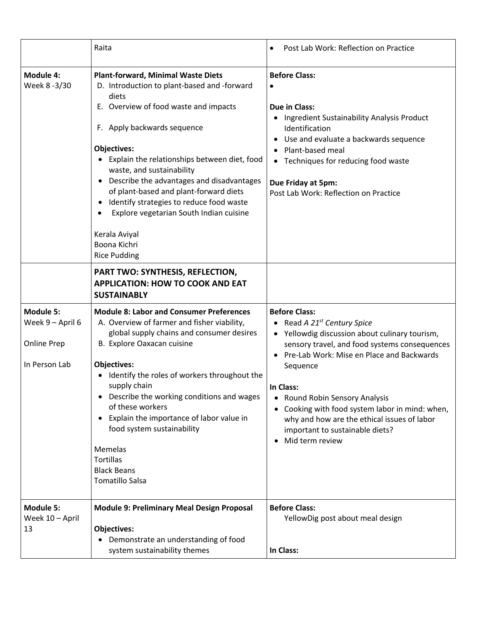|                                                                             | Raita                                                                                                                                                                                                                                                                                                                                                                                                                                                                                                              | Post Lab Work: Reflection on Practice                                                                                                                                                                                                                                                                                                                                                                                                     |
|-----------------------------------------------------------------------------|--------------------------------------------------------------------------------------------------------------------------------------------------------------------------------------------------------------------------------------------------------------------------------------------------------------------------------------------------------------------------------------------------------------------------------------------------------------------------------------------------------------------|-------------------------------------------------------------------------------------------------------------------------------------------------------------------------------------------------------------------------------------------------------------------------------------------------------------------------------------------------------------------------------------------------------------------------------------------|
| <b>Module 4:</b><br>Week 8 -3/30                                            | <b>Plant-forward, Minimal Waste Diets</b><br>D. Introduction to plant-based and -forward<br>diets<br>E. Overview of food waste and impacts<br>F. Apply backwards sequence<br><b>Objectives:</b><br>Explain the relationships between diet, food<br>waste, and sustainability<br>Describe the advantages and disadvantages<br>of plant-based and plant-forward diets<br>Identify strategies to reduce food waste<br>Explore vegetarian South Indian cuisine<br>Kerala Aviyal<br>Boona Kichri<br><b>Rice Pudding</b> | <b>Before Class:</b><br><b>Due in Class:</b><br>Ingredient Sustainability Analysis Product<br>Identification<br>Use and evaluate a backwards sequence<br>$\bullet$<br>• Plant-based meal<br>Techniques for reducing food waste<br>$\bullet$<br>Due Friday at 5pm:<br>Post Lab Work: Reflection on Practice                                                                                                                                |
|                                                                             | PART TWO: SYNTHESIS, REFLECTION,<br><b>APPLICATION: HOW TO COOK AND EAT</b><br><b>SUSTAINABLY</b>                                                                                                                                                                                                                                                                                                                                                                                                                  |                                                                                                                                                                                                                                                                                                                                                                                                                                           |
| <b>Module 5:</b><br>Week 9 - April 6<br><b>Online Prep</b><br>In Person Lab | <b>Module 8: Labor and Consumer Preferences</b><br>A. Overview of farmer and fisher viability,<br>global supply chains and consumer desires<br>B. Explore Oaxacan cuisine<br><b>Objectives:</b><br>Identify the roles of workers throughout the<br>supply chain<br>Describe the working conditions and wages<br>of these workers<br>Explain the importance of labor value in<br>food system sustainability<br>Memelas<br><b>Tortillas</b><br><b>Black Beans</b><br><b>Tomatillo Salsa</b>                          | <b>Before Class:</b><br>Read A 21 <sup>st</sup> Century Spice<br>Yellowdig discussion about culinary tourism,<br>sensory travel, and food systems consequences<br>Pre-Lab Work: Mise en Place and Backwards<br>$\bullet$<br>Sequence<br>In Class:<br>• Round Robin Sensory Analysis<br>Cooking with food system labor in mind: when,<br>why and how are the ethical issues of labor<br>important to sustainable diets?<br>Mid term review |
| <b>Module 5:</b><br>Week 10 - April<br>13                                   | <b>Module 9: Preliminary Meal Design Proposal</b><br><b>Objectives:</b><br>Demonstrate an understanding of food<br>system sustainability themes                                                                                                                                                                                                                                                                                                                                                                    | <b>Before Class:</b><br>YellowDig post about meal design<br>In Class:                                                                                                                                                                                                                                                                                                                                                                     |